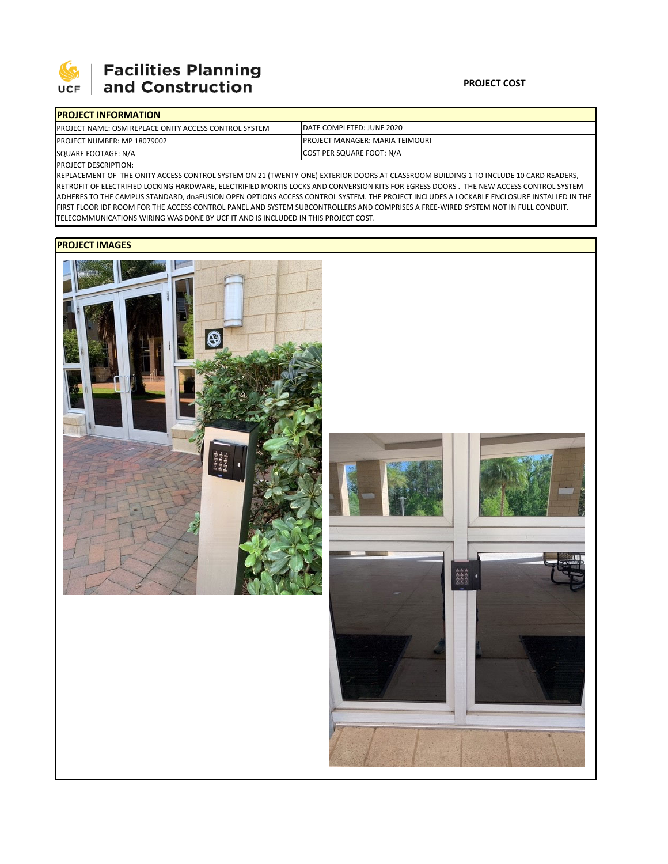

## | Facilities Planning and Construction

| <b>IPROJECT INFORMATION</b>                                   |                                         |  |  |
|---------------------------------------------------------------|-----------------------------------------|--|--|
| <b>IPROJECT NAME: OSM REPLACE ONITY ACCESS CONTROL SYSTEM</b> | IDATE COMPLETED: JUNE 2020              |  |  |
| <b>PROJECT NUMBER: MP 18079002</b>                            | <b>IPROJECT MANAGER: MARIA TEIMOURI</b> |  |  |
| SQUARE FOOTAGE: N/A                                           | COST PER SQUARE FOOT: N/A               |  |  |

PROJECT DESCRIPTION:

REPLACEMENT OF THE ONITY ACCESS CONTROL SYSTEM ON 21 (TWENTY‐ONE) EXTERIOR DOORS AT CLASSROOM BUILDING 1 TO INCLUDE 10 CARD READERS, RETROFIT OF ELECTRIFIED LOCKING HARDWARE, ELECTRIFIED MORTIS LOCKS AND CONVERSION KITS FOR EGRESS DOORS . THE NEW ACCESS CONTROL SYSTEM ADHERES TO THE CAMPUS STANDARD, dnaFUSION OPEN OPTIONS ACCESS CONTROL SYSTEM. THE PROJECT INCLUDES A LOCKABLE ENCLOSURE INSTALLED IN THE FIRST FLOOR IDF ROOM FOR THE ACCESS CONTROL PANEL AND SYSTEM SUBCONTROLLERS AND COMPRISES A FREE‐WIRED SYSTEM NOT IN FULL CONDUIT. TELECOMMUNICATIONS WIRING WAS DONE BY UCF IT AND IS INCLUDED IN THIS PROJECT COST.

## **PROJECT IMAGES**